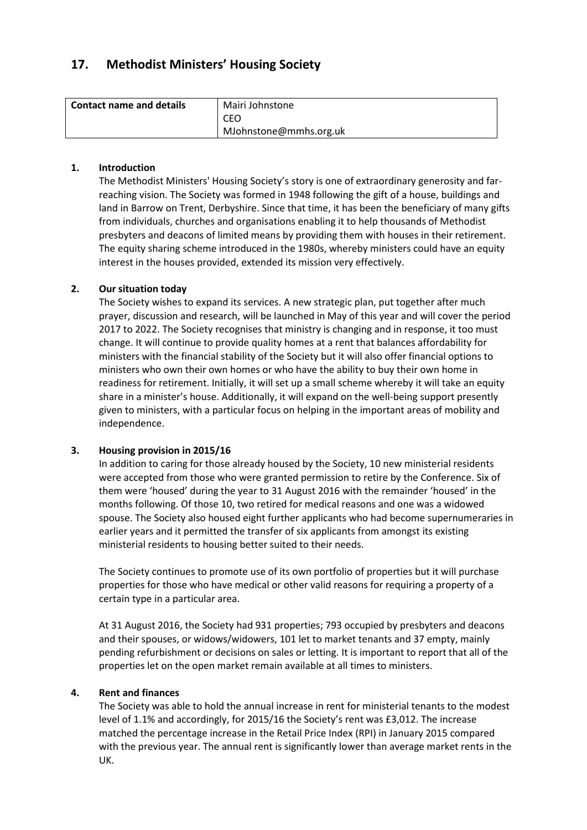# **17. Methodist Ministers' Housing Society**

| l Contact name and details | Mairi Johnstone        |
|----------------------------|------------------------|
|                            | CEO.                   |
|                            | MJohnstone@mmhs.org.uk |

# **1. Introduction**

The Methodist Ministers' Housing Society's story is one of extraordinary generosity and farreaching vision. The Society was formed in 1948 following the gift of a house, buildings and land in Barrow on Trent, Derbyshire. Since that time, it has been the beneficiary of many gifts from individuals, churches and organisations enabling it to help thousands of Methodist presbyters and deacons of limited means by providing them with houses in their retirement. The equity sharing scheme introduced in the 1980s, whereby ministers could have an equity interest in the houses provided, extended its mission very effectively.

# **2. Our situation today**

The Society wishes to expand its services. A new strategic plan, put together after much prayer, discussion and research, will be launched in May of this year and will cover the period 2017 to 2022. The Society recognises that ministry is changing and in response, it too must change. It will continue to provide quality homes at a rent that balances affordability for ministers with the financial stability of the Society but it will also offer financial options to ministers who own their own homes or who have the ability to buy their own home in readiness for retirement. Initially, it will set up a small scheme whereby it will take an equity share in a minister's house. Additionally, it will expand on the well-being support presently given to ministers, with a particular focus on helping in the important areas of mobility and independence.

# **3. Housing provision in 2015/16**

In addition to caring for those already housed by the Society, 10 new ministerial residents were accepted from those who were granted permission to retire by the Conference. Six of them were 'housed' during the year to 31 August 2016 with the remainder 'housed' in the months following. Of those 10, two retired for medical reasons and one was a widowed spouse. The Society also housed eight further applicants who had become supernumeraries in earlier years and it permitted the transfer of six applicants from amongst its existing ministerial residents to housing better suited to their needs.

The Society continues to promote use of its own portfolio of properties but it will purchase properties for those who have medical or other valid reasons for requiring a property of a certain type in a particular area.

At 31 August 2016, the Society had 931 properties; 793 occupied by presbyters and deacons and their spouses, or widows/widowers, 101 let to market tenants and 37 empty, mainly pending refurbishment or decisions on sales or letting. It is important to report that all of the properties let on the open market remain available at all times to ministers.

# **4. Rent and finances**

The Society was able to hold the annual increase in rent for ministerial tenants to the modest level of 1.1% and accordingly, for 2015/16 the Society's rent was £3,012. The increase matched the percentage increase in the Retail Price Index (RPI) in January 2015 compared with the previous year. The annual rent is significantly lower than average market rents in the UK.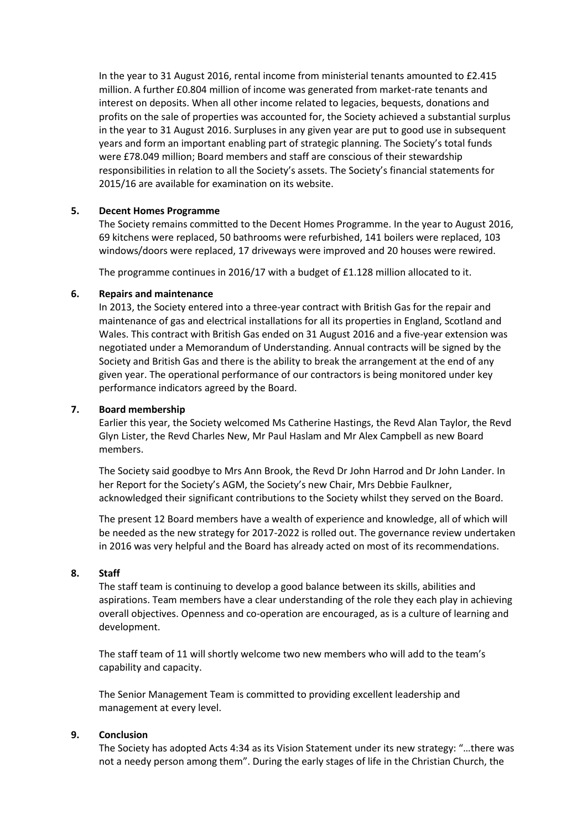In the year to 31 August 2016, rental income from ministerial tenants amounted to £2.415 million. A further £0.804 million of income was generated from market-rate tenants and interest on deposits. When all other income related to legacies, bequests, donations and profits on the sale of properties was accounted for, the Society achieved a substantial surplus in the year to 31 August 2016. Surpluses in any given year are put to good use in subsequent years and form an important enabling part of strategic planning. The Society's total funds were £78.049 million; Board members and staff are conscious of their stewardship responsibilities in relation to all the Society's assets. The Society's financial statements for 2015/16 are available for examination on its website.

# **5. Decent Homes Programme**

The Society remains committed to the Decent Homes Programme. In the year to August 2016, 69 kitchens were replaced, 50 bathrooms were refurbished, 141 boilers were replaced, 103 windows/doors were replaced, 17 driveways were improved and 20 houses were rewired.

The programme continues in 2016/17 with a budget of £1.128 million allocated to it.

#### **6. Repairs and maintenance**

In 2013, the Society entered into a three-year contract with British Gas for the repair and maintenance of gas and electrical installations for all its properties in England, Scotland and Wales. This contract with British Gas ended on 31 August 2016 and a five-year extension was negotiated under a Memorandum of Understanding. Annual contracts will be signed by the Society and British Gas and there is the ability to break the arrangement at the end of any given year. The operational performance of our contractors is being monitored under key performance indicators agreed by the Board.

# **7. Board membership**

Earlier this year, the Society welcomed Ms Catherine Hastings, the Revd Alan Taylor, the Revd Glyn Lister, the Revd Charles New, Mr Paul Haslam and Mr Alex Campbell as new Board members.

The Society said goodbye to Mrs Ann Brook, the Revd Dr John Harrod and Dr John Lander. In her Report for the Society's AGM, the Society's new Chair, Mrs Debbie Faulkner, acknowledged their significant contributions to the Society whilst they served on the Board.

The present 12 Board members have a wealth of experience and knowledge, all of which will be needed as the new strategy for 2017-2022 is rolled out. The governance review undertaken in 2016 was very helpful and the Board has already acted on most of its recommendations.

# **8. Staff**

The staff team is continuing to develop a good balance between its skills, abilities and aspirations. Team members have a clear understanding of the role they each play in achieving overall objectives. Openness and co-operation are encouraged, as is a culture of learning and development.

The staff team of 11 will shortly welcome two new members who will add to the team's capability and capacity.

The Senior Management Team is committed to providing excellent leadership and management at every level.

# **9. Conclusion**

The Society has adopted Acts 4:34 as its Vision Statement under its new strategy: "…there was not a needy person among them". During the early stages of life in the Christian Church, the